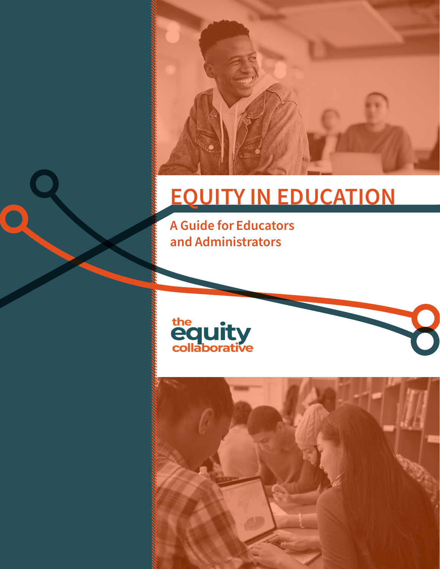

# EQUITY IN EDUCATION

A Guide for Educators and Administrators





J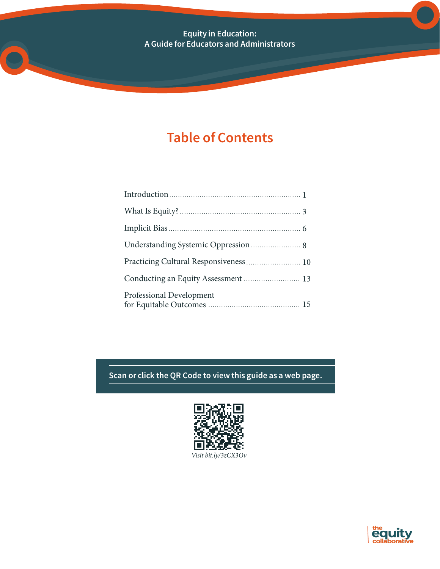Equity in Education: A Guide for Educators and Administrators

### Table of Contents

| Practicing Cultural Responsiveness  10 |
|----------------------------------------|
|                                        |
| Professional Development               |

Scan or click the QR Code to view this guide as a web page.



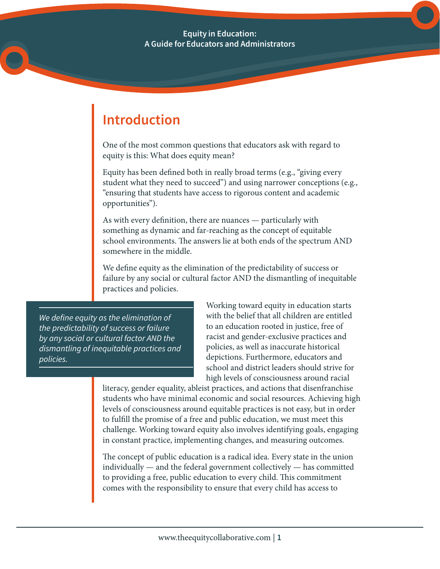Equity in Education: A Guide for Educators and Administrators

## Introduction

One of the most common questions that educators ask with regard to equity is this: What does equity mean?

Equity has been defined both in really broad terms (e.g., "giving every student what they need to succeed") and using narrower conceptions (e.g., "ensuring that students have access to rigorous content and academic opportunities").

As with every definition, there are nuances — particularly with something as dynamic and far-reaching as the concept of equitable school environments. The answers lie at both ends of the spectrum AND somewhere in the middle.

We define equity as the elimination of the predictability of success or failure by any social or cultural factor AND the dismantling of inequitable practices and policies.

*We define equity as the elimination of the predictability of success or failure by any social or cultural factor AND the dismantling of inequitable practices and policies.*

Working toward equity in education starts with the belief that all children are entitled to an education rooted in justice, free of racist and gender-exclusive practices and policies, as well as inaccurate historical depictions. Furthermore, educators and school and district leaders should strive for high levels of consciousness around racial

literacy, gender equality, ableist practices, and actions that disenfranchise students who have minimal economic and social resources. Achieving high levels of consciousness around equitable practices is not easy, but in order to fulfill the promise of a free and public education, we must meet this challenge. Working toward equity also involves identifying goals, engaging in constant practice, implementing changes, and measuring outcomes.

The concept of public education is a radical idea. Every state in the union individually — and the federal government collectively — has committed to providing a free, public education to every child. This commitment comes with the responsibility to ensure that every child has access to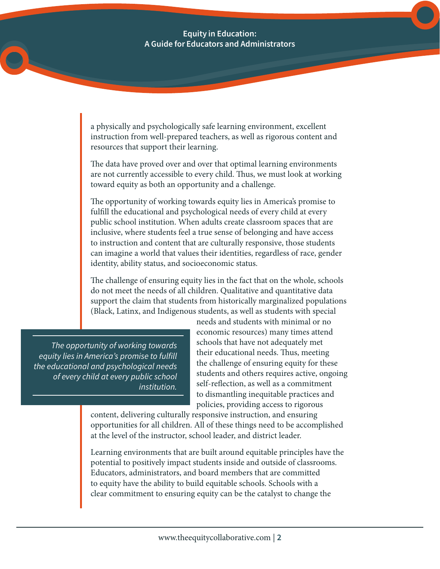a physically and psychologically safe learning environment, excellent instruction from well-prepared teachers, as well as rigorous content and resources that support their learning.

The data have proved over and over that optimal learning environments are not currently accessible to every child. Thus, we must look at working toward equity as both an opportunity and a challenge.

The opportunity of working towards equity lies in America's promise to fulfill the educational and psychological needs of every child at every public school institution. When adults create classroom spaces that are inclusive, where students feel a true sense of belonging and have access to instruction and content that are culturally responsive, those students can imagine a world that values their identities, regardless of race, gender identity, ability status, and socioeconomic status.

The challenge of ensuring equity lies in the fact that on the whole, schools do not meet the needs of all children. Qualitative and quantitative data support the claim that students from historically marginalized populations (Black, Latinx, and Indigenous students, as well as students with special

*The opportunity of working towards equity lies in America's promise to fulfill the educational and psychological needs of every child at every public school institution.*

needs and students with minimal or no economic resources) many times attend schools that have not adequately met their educational needs. Thus, meeting the challenge of ensuring equity for these students and others requires active, ongoing self-reflection, as well as a commitment to dismantling inequitable practices and policies, providing access to rigorous

content, delivering culturally responsive instruction, and ensuring opportunities for all children. All of these things need to be accomplished at the level of the instructor, school leader, and district leader.

Learning environments that are built around equitable principles have the potential to positively impact students inside and outside of classrooms. Educators, administrators, and board members that are committed to equity have the ability to build equitable schools. Schools with a clear commitment to ensuring equity can be the catalyst to change the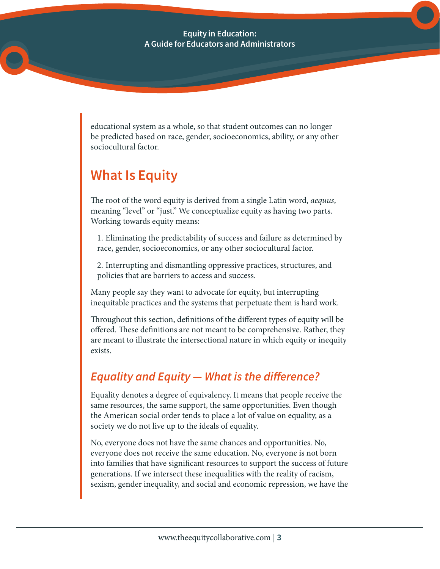educational system as a whole, so that student outcomes can no longer be predicted based on race, gender, socioeconomics, ability, or any other sociocultural factor.

### What Is Equity

The root of the word equity is derived from a single Latin word, *aequus*, meaning "level" or "just." We conceptualize equity as having two parts. Working towards equity means:

1. Eliminating the predictability of success and failure as determined by race, gender, socioeconomics, or any other sociocultural factor.

2. Interrupting and dismantling oppressive practices, structures, and policies that are barriers to access and success.

Many people say they want to advocate for equity, but interrupting inequitable practices and the systems that perpetuate them is hard work.

Throughout this section, definitions of the different types of equity will be offered. These definitions are not meant to be comprehensive. Rather, they are meant to illustrate the intersectional nature in which equity or inequity exists.

### *Equality and Equity — What is the difference?*

Equality denotes a degree of equivalency. It means that people receive the same resources, the same support, the same opportunities. Even though the American social order tends to place a lot of value on equality, as a society we do not live up to the ideals of equality.

No, everyone does not have the same chances and opportunities. No, everyone does not receive the same education. No, everyone is not born into families that have significant resources to support the success of future generations. If we intersect these inequalities with the reality of racism, sexism, gender inequality, and social and economic repression, we have the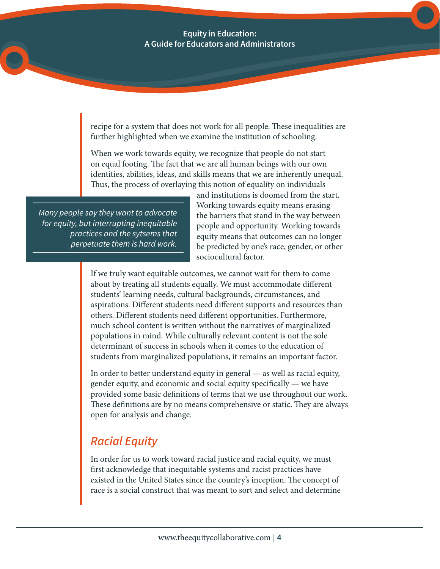recipe for a system that does not work for all people. These inequalities are further highlighted when we examine the institution of schooling.

When we work towards equity, we recognize that people do not start on equal footing. The fact that we are all human beings with our own identities, abilities, ideas, and skills means that we are inherently unequal. Thus, the process of overlaying this notion of equality on individuals

*Many people say they want to advocate for equity, but interrupting inequitable practices and the sytsems that perpetuate them is hard work.*

and institutions is doomed from the start. Working towards equity means erasing the barriers that stand in the way between people and opportunity. Working towards equity means that outcomes can no longer be predicted by one's race, gender, or other sociocultural factor.

If we truly want equitable outcomes, we cannot wait for them to come about by treating all students equally. We must accommodate different students' learning needs, cultural backgrounds, circumstances, and aspirations. Different students need different supports and resources than others. Different students need different opportunities. Furthermore, much school content is written without the narratives of marginalized populations in mind. While culturally relevant content is not the sole determinant of success in schools when it comes to the education of students from marginalized populations, it remains an important factor.

In order to better understand equity in general — as well as racial equity, gender equity, and economic and social equity specifically — we have provided some basic definitions of terms that we use throughout our work. These definitions are by no means comprehensive or static. They are always open for analysis and change.

### *Racial Equity*

In order for us to work toward racial justice and racial equity, we must first acknowledge that inequitable systems and racist practices have existed in the United States since the country's inception. The concept of race is a social construct that was meant to sort and select and determine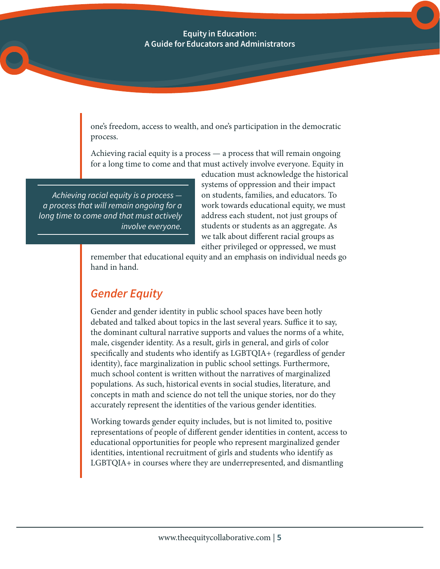one's freedom, access to wealth, and one's participation in the democratic process.

Achieving racial equity is a process — a process that will remain ongoing for a long time to come and that must actively involve everyone. Equity in

*Achieving racial equity is a process a process that will remain ongoing for a long time to come and that must actively involve everyone.*

education must acknowledge the historical systems of oppression and their impact on students, families, and educators. To work towards educational equity, we must address each student, not just groups of students or students as an aggregate. As we talk about different racial groups as either privileged or oppressed, we must

remember that educational equity and an emphasis on individual needs go hand in hand.

### *Gender Equity*

Gender and gender identity in public school spaces have been hotly debated and talked about topics in the last several years. Suffice it to say, the dominant cultural narrative supports and values the norms of a white, male, cisgender identity. As a result, girls in general, and girls of color specifically and students who identify as LGBTQIA+ (regardless of gender identity), face marginalization in public school settings. Furthermore, much school content is written without the narratives of marginalized populations. As such, historical events in social studies, literature, and concepts in math and science do not tell the unique stories, nor do they accurately represent the identities of the various gender identities.

Working towards gender equity includes, but is not limited to, positive representations of people of different gender identities in content, access to educational opportunities for people who represent marginalized gender identities, intentional recruitment of girls and students who identify as LGBTQIA+ in courses where they are underrepresented, and dismantling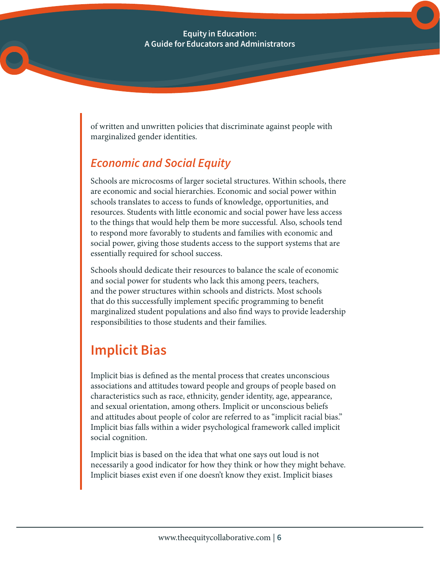of written and unwritten policies that discriminate against people with marginalized gender identities.

### *Economic and Social Equity*

Schools are microcosms of larger societal structures. Within schools, there are economic and social hierarchies. Economic and social power within schools translates to access to funds of knowledge, opportunities, and resources. Students with little economic and social power have less access to the things that would help them be more successful. Also, schools tend to respond more favorably to students and families with economic and social power, giving those students access to the support systems that are essentially required for school success.

Schools should dedicate their resources to balance the scale of economic and social power for students who lack this among peers, teachers, and the power structures within schools and districts. Most schools that do this successfully implement specific programming to benefit marginalized student populations and also find ways to provide leadership responsibilities to those students and their families.

## Implicit Bias

Implicit bias is defined as the mental process that creates unconscious associations and attitudes toward people and groups of people based on characteristics such as race, ethnicity, gender identity, age, appearance, and sexual orientation, among others. Implicit or unconscious beliefs and attitudes about people of color are referred to as "implicit racial bias." Implicit bias falls within a wider psychological framework called implicit social cognition.

Implicit bias is based on the idea that what one says out loud is not necessarily a good indicator for how they think or how they might behave. Implicit biases exist even if one doesn't know they exist. Implicit biases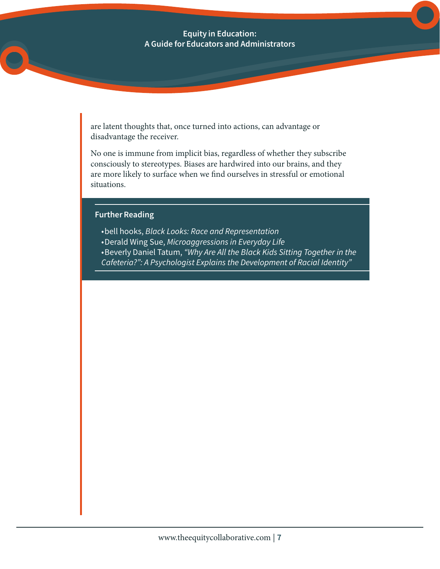are latent thoughts that, once turned into actions, can advantage or disadvantage the receiver.

No one is immune from implicit bias, regardless of whether they subscribe consciously to stereotypes. Biases are hardwired into our brains, and they are more likely to surface when we find ourselves in stressful or emotional situations.

#### Further Reading

- • bell hooks, *Black Looks: Race and Representation*
- • Derald Wing Sue, *Microaggressions in Everyday Life*
- • Beverly Daniel Tatum, *"Why Are All the Black Kids Sitting Together in the*
- *Cafeteria?": A Psychologist Explains the Development of Racial Identity"*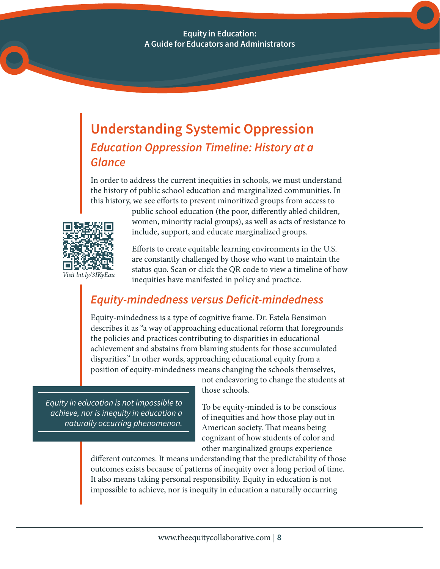### Understanding Systemic Oppression *Education Oppression Timeline: History at a Glance*

In order to address the current inequities in schools, we must understand the history of public school education and marginalized communities. In this history, we see efforts to prevent minoritized groups from access to



public school education (the poor, differently abled children, women, minority racial groups), as well as acts of resistance to include, support, and educate marginalized groups.

Efforts to create equitable learning environments in the U.S. are constantly challenged by those who want to maintain the status quo. Scan or click the QR code to view a timeline of how inequities have manifested in policy and practice.

### *Equity-mindedness versus Deficit-mindedness*

Equity-mindedness is a type of cognitive frame. Dr. Estela Bensimon describes it as "a way of approaching educational reform that foregrounds the policies and practices contributing to disparities in educational achievement and abstains from blaming students for those accumulated disparities." In other words, approaching educational equity from a position of equity-mindedness means changing the schools themselves,

*Equity in education is not impossible to achieve, nor is inequity in education a naturally occurring phenomenon.*

not endeavoring to change the students at those schools.

To be equity-minded is to be conscious of inequities and how those play out in American society. That means being cognizant of how students of color and other marginalized groups experience

different outcomes. It means understanding that the predictability of those outcomes exists because of patterns of inequity over a long period of time. It also means taking personal responsibility. Equity in education is not impossible to achieve, nor is inequity in education a naturally occurring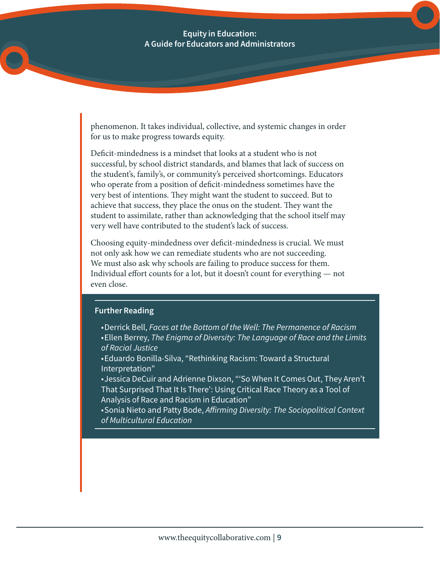phenomenon. It takes individual, collective, and systemic changes in order for us to make progress towards equity.

Deficit-mindedness is a mindset that looks at a student who is not successful, by school district standards, and blames that lack of success on the student's, family's, or community's perceived shortcomings. Educators who operate from a position of deficit-mindedness sometimes have the very best of intentions. They might want the student to succeed. But to achieve that success, they place the onus on the student. They want the student to assimilate, rather than acknowledging that the school itself may very well have contributed to the student's lack of success.

Choosing equity-mindedness over deficit-mindedness is crucial. We must not only ask how we can remediate students who are not succeeding. We must also ask why schools are failing to produce success for them. Individual effort counts for a lot, but it doesn't count for everything — not even close.

#### Further Reading

- • Derrick Bell, *Faces at the Bottom of the Well: The Permanence of Racism* • Ellen Berrey, *The Enigma of Diversity: The Language of Race and the Limits of Racial Justice*
- Eduardo Bonilla-Silva, "Rethinking Racism: Toward a Structural Interpretation"
- • Jessica DeCuir and Adrienne Dixson, "'So When It Comes Out, They Aren't That Surprised That It Is There': Using Critical Race Theory as a Tool of Analysis of Race and Racism in Education"
- • Sonia Nieto and Patty Bode, *Affirming Diversity: The Sociopolitical Context of Multicultural Education*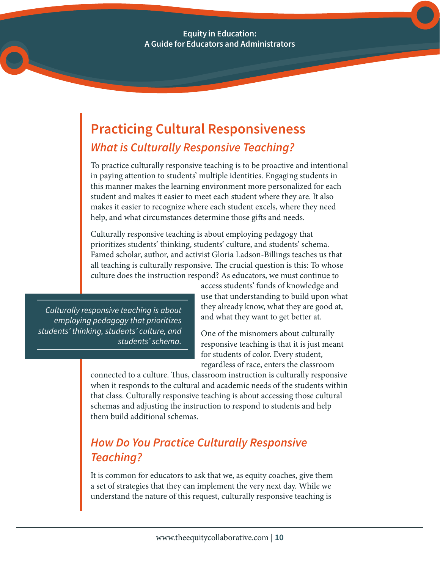## Practicing Cultural Responsiveness *What is Culturally Responsive Teaching?*

To practice culturally responsive teaching is to be proactive and intentional in paying attention to students' multiple identities. Engaging students in this manner makes the learning environment more personalized for each student and makes it easier to meet each student where they are. It also makes it easier to recognize where each student excels, where they need help, and what circumstances determine those gifts and needs.

Culturally responsive teaching is about employing pedagogy that prioritizes students' thinking, students' culture, and students' schema. Famed scholar, author, and activist Gloria Ladson-Billings teaches us that all teaching is culturally responsive. The crucial question is this: To whose culture does the instruction respond? As educators, we must continue to

*Culturally responsive teaching is about employing pedagogy that prioritizes students' thinking, students' culture, and students' schema.*

access students' funds of knowledge and use that understanding to build upon what they already know, what they are good at, and what they want to get better at.

One of the misnomers about culturally responsive teaching is that it is just meant for students of color. Every student, regardless of race, enters the classroom

connected to a culture. Thus, classroom instruction is culturally responsive when it responds to the cultural and academic needs of the students within that class. Culturally responsive teaching is about accessing those cultural schemas and adjusting the instruction to respond to students and help them build additional schemas.

### *How Do You Practice Culturally Responsive Teaching?*

It is common for educators to ask that we, as equity coaches, give them a set of strategies that they can implement the very next day. While we understand the nature of this request, culturally responsive teaching is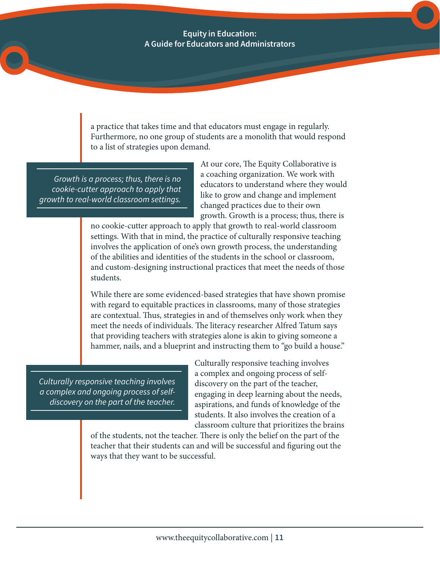a practice that takes time and that educators must engage in regularly. Furthermore, no one group of students are a monolith that would respond to a list of strategies upon demand.

*Growth is a process; thus, there is no cookie-cutter approach to apply that growth to real-world classroom settings.*

At our core, The Equity Collaborative is a coaching organization. We work with educators to understand where they would like to grow and change and implement changed practices due to their own growth. Growth is a process; thus, there is

no cookie-cutter approach to apply that growth to real-world classroom settings. With that in mind, the practice of culturally responsive teaching involves the application of one's own growth process, the understanding of the abilities and identities of the students in the school or classroom, and custom-designing instructional practices that meet the needs of those students.

While there are some evidenced-based strategies that have shown promise with regard to equitable practices in classrooms, many of those strategies are contextual. Thus, strategies in and of themselves only work when they meet the needs of individuals. The literacy researcher Alfred Tatum says that providing teachers with strategies alone is akin to giving someone a hammer, nails, and a blueprint and instructing them to "go build a house."

*Culturally responsive teaching involves a complex and ongoing process of selfdiscovery on the part of the teacher.*

Culturally responsive teaching involves a complex and ongoing process of selfdiscovery on the part of the teacher, engaging in deep learning about the needs, aspirations, and funds of knowledge of the students. It also involves the creation of a classroom culture that prioritizes the brains

of the students, not the teacher. There is only the belief on the part of the teacher that their students can and will be successful and figuring out the ways that they want to be successful.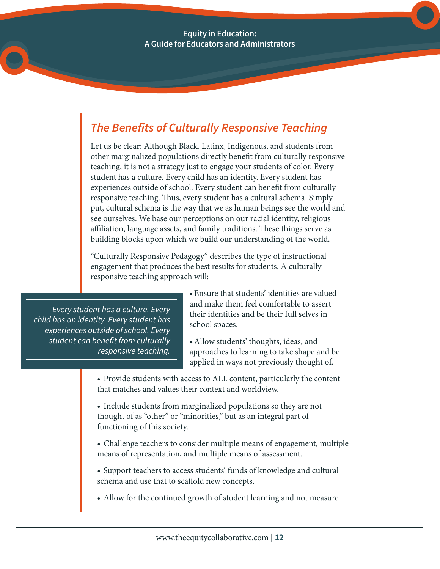Equity in Education: A Guide for Educators and Administrators

### *The Benefits of Culturally Responsive Teaching*

Let us be clear: Although Black, Latinx, Indigenous, and students from other marginalized populations directly benefit from culturally responsive teaching, it is not a strategy just to engage your students of color. Every student has a culture. Every child has an identity. Every student has experiences outside of school. Every student can benefit from culturally responsive teaching. Thus, every student has a cultural schema. Simply put, cultural schema is the way that we as human beings see the world and see ourselves. We base our perceptions on our racial identity, religious affiliation, language assets, and family traditions. These things serve as building blocks upon which we build our understanding of the world.

"Culturally Responsive Pedagogy" describes the type of instructional engagement that produces the best results for students. A culturally responsive teaching approach will:

*Every student has a culture. Every child has an identity. Every student has experiences outside of school. Every student can benefit from culturally responsive teaching.*

•Ensure that students' identities are valued and make them feel comfortable to assert their identities and be their full selves in school spaces.

•Allow students' thoughts, ideas, and approaches to learning to take shape and be applied in ways not previously thought of.

• Provide students with access to ALL content, particularly the content that matches and values their context and worldview.

• Include students from marginalized populations so they are not thought of as "other" or "minorities," but as an integral part of functioning of this society.

• Challenge teachers to consider multiple means of engagement, multiple means of representation, and multiple means of assessment.

• Support teachers to access students' funds of knowledge and cultural schema and use that to scaffold new concepts.

• Allow for the continued growth of student learning and not measure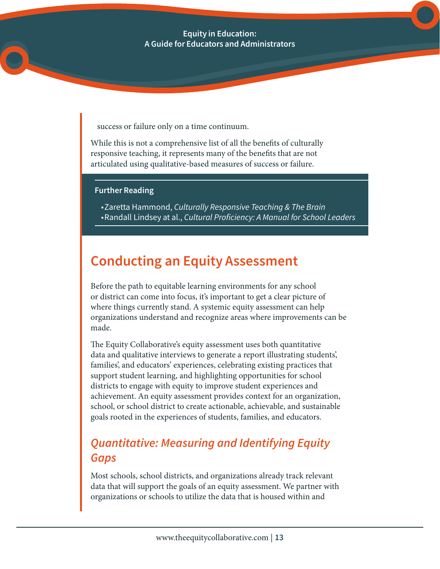success or failure only on a time continuum.

While this is not a comprehensive list of all the benefits of culturally responsive teaching, it represents many of the benefits that are not articulated using qualitative-based measures of success or failure.

#### Further Reading

• Zaretta Hammond, *Culturally Responsive Teaching & The Brain* • Randall Lindsey at al., *Cultural Proficiency: A Manual for School Leaders*

### Conducting an Equity Assessment

Before the path to equitable learning environments for any school or district can come into focus, it's important to get a clear picture of where things currently stand. A systemic equity assessment can help organizations understand and recognize areas where improvements can be made.

The Equity Collaborative's equity assessment uses both quantitative data and qualitative interviews to generate a report illustrating students', families', and educators' experiences, celebrating existing practices that support student learning, and highlighting opportunities for school districts to engage with equity to improve student experiences and achievement. An equity assessment provides context for an organization, school, or school district to create actionable, achievable, and sustainable goals rooted in the experiences of students, families, and educators.

### *Quantitative: Measuring and Identifying Equity Gaps*

Most schools, school districts, and organizations already track relevant data that will support the goals of an equity assessment. We partner with organizations or schools to utilize the data that is housed within and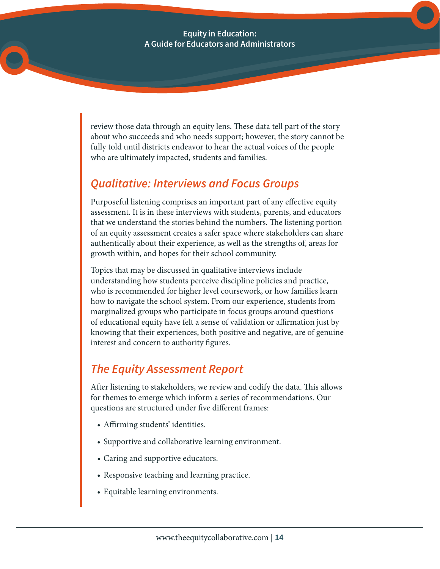review those data through an equity lens. These data tell part of the story about who succeeds and who needs support; however, the story cannot be fully told until districts endeavor to hear the actual voices of the people who are ultimately impacted, students and families.

### *Qualitative: Interviews and Focus Groups*

Purposeful listening comprises an important part of any effective equity assessment. It is in these interviews with students, parents, and educators that we understand the stories behind the numbers. The listening portion of an equity assessment creates a safer space where stakeholders can share authentically about their experience, as well as the strengths of, areas for growth within, and hopes for their school community.

Topics that may be discussed in qualitative interviews include understanding how students perceive discipline policies and practice, who is recommended for higher level coursework, or how families learn how to navigate the school system. From our experience, students from marginalized groups who participate in focus groups around questions of educational equity have felt a sense of validation or affirmation just by knowing that their experiences, both positive and negative, are of genuine interest and concern to authority figures.

### *The Equity Assessment Report*

After listening to stakeholders, we review and codify the data. This allows for themes to emerge which inform a series of recommendations. Our questions are structured under five different frames:

- Affirming students' identities.
- Supportive and collaborative learning environment.
- Caring and supportive educators.
- Responsive teaching and learning practice.
- Equitable learning environments.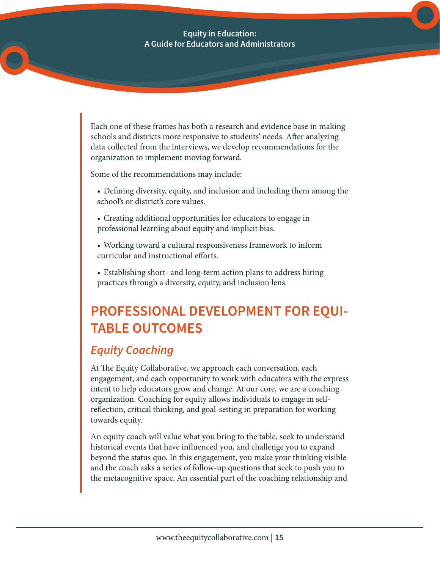Each one of these frames has both a research and evidence base in making schools and districts more responsive to students' needs. After analyzing data collected from the interviews, we develop recommendations for the organization to implement moving forward.

Some of the recommendations may include:

- Defining diversity, equity, and inclusion and including them among the school's or district's core values.
- Creating additional opportunities for educators to engage in professional learning about equity and implicit bias.
- Working toward a cultural responsiveness framework to inform curricular and instructional efforts.
- Establishing short- and long-term action plans to address hiring practices through a diversity, equity, and inclusion lens.

## PROFESSIONAL DEVELOPMENT FOR EQUI-TABLE OUTCOMES

### *Equity Coaching*

At The Equity Collaborative, we approach each conversation, each engagement, and each opportunity to work with educators with the express intent to help educators grow and change. At our core, we are a coaching organization. Coaching for equity allows individuals to engage in selfreflection, critical thinking, and goal-setting in preparation for working towards equity.

An equity coach will value what you bring to the table, seek to understand historical events that have influenced you, and challenge you to expand beyond the status quo. In this engagement, you make your thinking visible and the coach asks a series of follow-up questions that seek to push you to the metacognitive space. An essential part of the coaching relationship and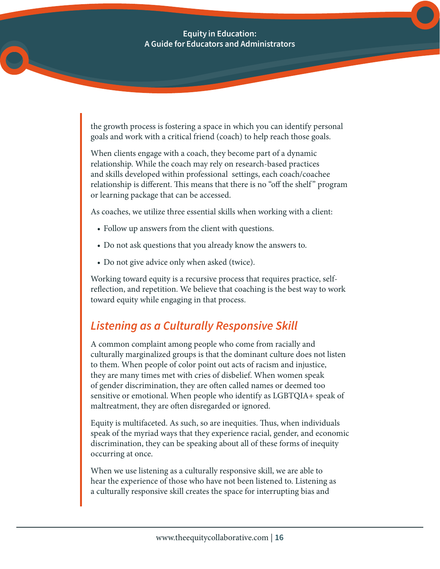the growth process is fostering a space in which you can identify personal goals and work with a critical friend (coach) to help reach those goals.

When clients engage with a coach, they become part of a dynamic relationship. While the coach may rely on research-based practices and skills developed within professional settings, each coach/coachee relationship is different. This means that there is no "off the shelf " program or learning package that can be accessed.

As coaches, we utilize three essential skills when working with a client:

- Follow up answers from the client with questions.
- Do not ask questions that you already know the answers to.
- Do not give advice only when asked (twice).

Working toward equity is a recursive process that requires practice, selfreflection, and repetition. We believe that coaching is the best way to work toward equity while engaging in that process.

### *Listening as a Culturally Responsive Skill*

A common complaint among people who come from racially and culturally marginalized groups is that the dominant culture does not listen to them. When people of color point out acts of racism and injustice, they are many times met with cries of disbelief. When women speak of gender discrimination, they are often called names or deemed too sensitive or emotional. When people who identify as LGBTQIA+ speak of maltreatment, they are often disregarded or ignored.

Equity is multifaceted. As such, so are inequities. Thus, when individuals speak of the myriad ways that they experience racial, gender, and economic discrimination, they can be speaking about all of these forms of inequity occurring at once.

When we use listening as a culturally responsive skill, we are able to hear the experience of those who have not been listened to. Listening as a culturally responsive skill creates the space for interrupting bias and